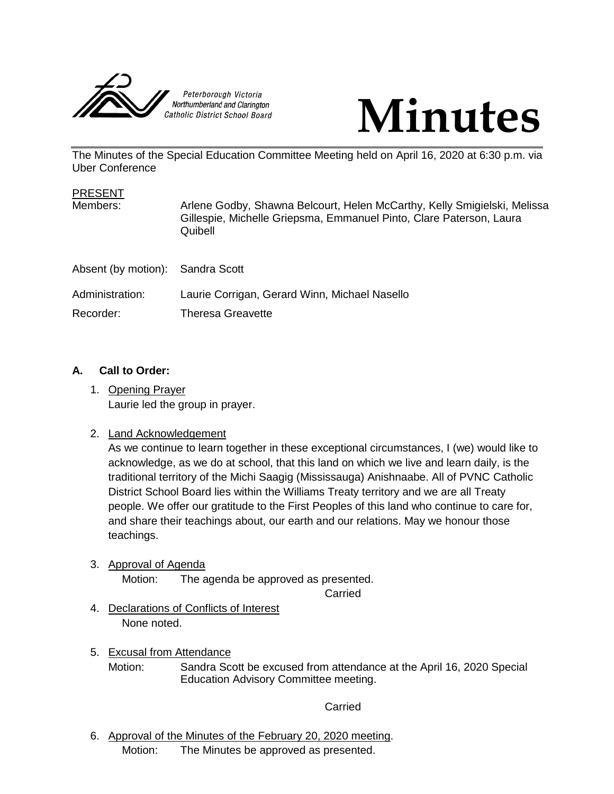



The Minutes of the Special Education Committee Meeting held on April 16, 2020 at 6:30 p.m. via Uber Conference

| <b>PRESENT</b><br>Members:       | Arlene Godby, Shawna Belcourt, Helen McCarthy, Kelly Smigielski, Melissa<br>Gillespie, Michelle Griepsma, Emmanuel Pinto, Clare Paterson, Laura<br>Quibell |
|----------------------------------|------------------------------------------------------------------------------------------------------------------------------------------------------------|
| Absent (by motion): Sandra Scott |                                                                                                                                                            |
| Administration:<br>Recorder:     | Laurie Corrigan, Gerard Winn, Michael Nasello<br>Theresa Greavette                                                                                         |

## **A. Call to Order:**

1. Opening Prayer Laurie led the group in prayer.

## 2. Land Acknowledgement

As we continue to learn together in these exceptional circumstances, I (we) would like to acknowledge, as we do at school, that this land on which we live and learn daily, is the traditional territory of the Michi Saagig (Mississauga) Anishnaabe. All of PVNC Catholic District School Board lies within the Williams Treaty territory and we are all Treaty people. We offer our gratitude to the First Peoples of this land who continue to care for, and share their teachings about, our earth and our relations. May we honour those teachings.

3. Approval of Agenda

Motion: The agenda be approved as presented.

Carried

- 4. Declarations of Conflicts of Interest None noted.
- 5. Excusal from Attendance Motion: Sandra Scott be excused from attendance at the April 16, 2020 Special Education Advisory Committee meeting.

## Carried

6. Approval of the Minutes of the February 20, 2020 meeting. Motion: The Minutes be approved as presented.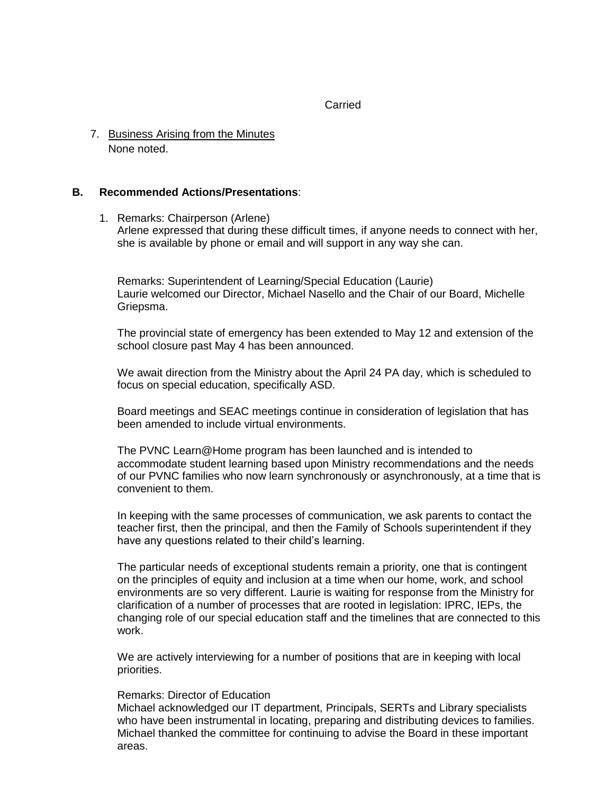#### **Carried**

7. Business Arising from the Minutes None noted.

#### **B. Recommended Actions/Presentations**:

1. Remarks: Chairperson (Arlene)

Arlene expressed that during these difficult times, if anyone needs to connect with her, she is available by phone or email and will support in any way she can.

Remarks: Superintendent of Learning/Special Education (Laurie) Laurie welcomed our Director, Michael Nasello and the Chair of our Board, Michelle Griepsma.

The provincial state of emergency has been extended to May 12 and extension of the school closure past May 4 has been announced.

We await direction from the Ministry about the April 24 PA day, which is scheduled to focus on special education, specifically ASD.

Board meetings and SEAC meetings continue in consideration of legislation that has been amended to include virtual environments.

The PVNC Learn@Home program has been launched and is intended to accommodate student learning based upon Ministry recommendations and the needs of our PVNC families who now learn synchronously or asynchronously, at a time that is convenient to them.

In keeping with the same processes of communication, we ask parents to contact the teacher first, then the principal, and then the Family of Schools superintendent if they have any questions related to their child's learning.

The particular needs of exceptional students remain a priority, one that is contingent on the principles of equity and inclusion at a time when our home, work, and school environments are so very different. Laurie is waiting for response from the Ministry for clarification of a number of processes that are rooted in legislation: IPRC, IEPs, the changing role of our special education staff and the timelines that are connected to this work.

We are actively interviewing for a number of positions that are in keeping with local priorities.

#### Remarks: Director of Education

Michael acknowledged our IT department, Principals, SERTs and Library specialists who have been instrumental in locating, preparing and distributing devices to families. Michael thanked the committee for continuing to advise the Board in these important areas.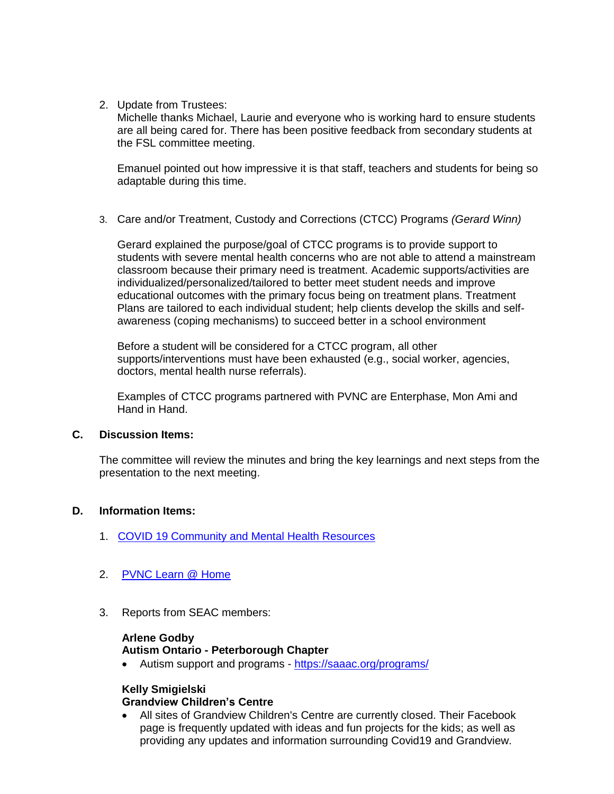2. Update from Trustees:

Michelle thanks Michael, Laurie and everyone who is working hard to ensure students are all being cared for. There has been positive feedback from secondary students at the FSL committee meeting.

Emanuel pointed out how impressive it is that staff, teachers and students for being so adaptable during this time.

3. Care and/or Treatment, Custody and Corrections (CTCC) Programs *(Gerard Winn)*

Gerard explained the purpose/goal of CTCC programs is to provide support to students with severe mental health concerns who are not able to attend a mainstream classroom because their primary need is treatment. Academic supports/activities are individualized/personalized/tailored to better meet student needs and improve educational outcomes with the primary focus being on treatment plans. Treatment Plans are tailored to each individual student; help clients develop the skills and selfawareness (coping mechanisms) to succeed better in a school environment

Before a student will be considered for a CTCC program, all other supports/interventions must have been exhausted (e.g., social worker, agencies, doctors, mental health nurse referrals).

Examples of CTCC programs partnered with PVNC are Enterphase, Mon Ami and Hand in Hand.

## **C. Discussion Items:**

The committee will review the minutes and bring the key learnings and next steps from the presentation to the next meeting.

## **D. Information Items:**

- 1. [COVID 19 Community and Mental Health Resources](https://www.pvnccdsb.on.ca/covid-19-community-and-mental-health-resources/)
- 2. [PVNC Learn @ Home](https://www.pvnccdsb.on.ca/pvnc-learn-home/)
- 3. Reports from SEAC members:

#### **Arlene Godby**

#### **Autism Ontario - Peterborough Chapter**

Autism support and programs - <https://saaac.org/programs/>

## **Kelly Smigielski**

#### **Grandview Children's Centre**

 All sites of Grandview Children's Centre are currently closed. Their Facebook page is frequently updated with ideas and fun projects for the kids; as well as providing any updates and information surrounding Covid19 and Grandview.